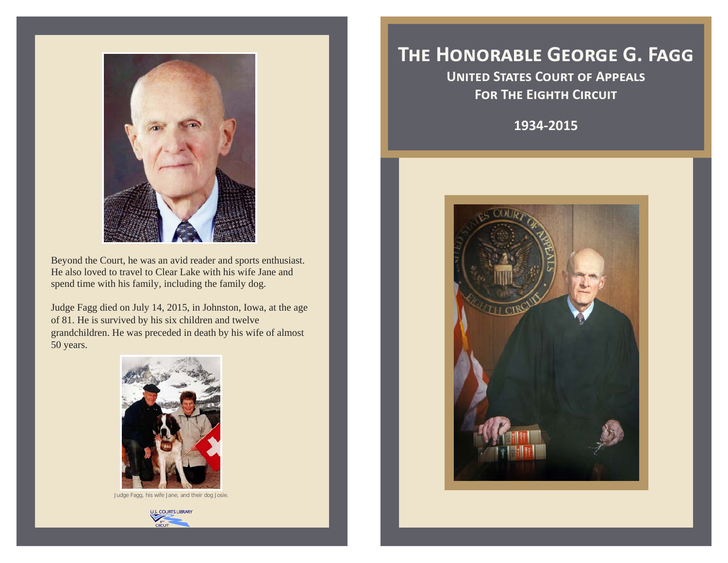

Beyond the Court, he was an avid reader and sports enthusiast. He also loved to travel to Clear Lake with his wife Jane and spend time with his family, including the family dog.

Judge Fagg died on July 14, 2015, in Johnston, Iowa, at the age of 81. He is survived by his six children and twelve grandchildren. He was preceded in death by his wife of almost 50 years.



Judge Fagg, his wife Jane, and their dog Josie.



## THE HONORABLE GEORGE G. FAGG

**UNITED STATES COURT OF APPEALS FOR THE EIGHTH CIRCUIT** 

1934-2015